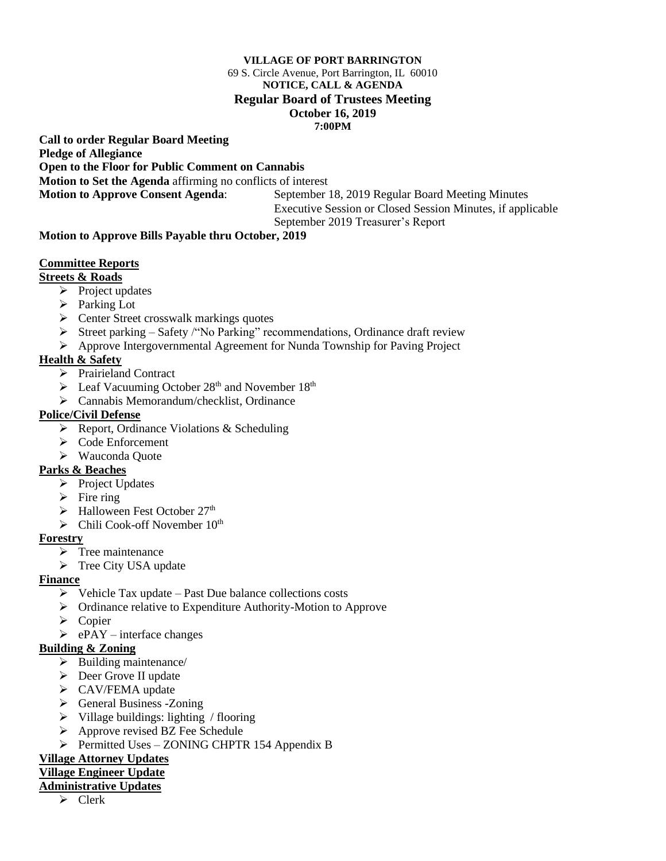#### **VILLAGE OF PORT BARRINGTON**

#### 69 S. Circle Avenue, Port Barrington, IL 60010 **NOTICE, CALL & AGENDA**

#### **Regular Board of Trustees Meeting**

# **October 16, 2019**

**7:00PM**

**Call to order Regular Board Meeting Pledge of Allegiance**

**Open to the Floor for Public Comment on Cannabis**

**Motion to Set the Agenda** affirming no conflicts of interest

**Motion to Approve Consent Agenda**: September 18, 2019 Regular Board Meeting Minutes Executive Session or Closed Session Minutes, if applicable September 2019 Treasurer's Report

### **Motion to Approve Bills Payable thru October, 2019**

### **Committee Reports**

**Streets & Roads**

- $\triangleright$  Project updates
- ➢ Parking Lot
- ➢ Center Street crosswalk markings quotes
- ➢ Street parking Safety /"No Parking" recommendations, Ordinance draft review
- ➢ Approve Intergovernmental Agreement for Nunda Township for Paving Project

## **Health & Safety**

- ➢ Prairieland Contract
- $\triangleright$  Leaf Vacuuming October 28<sup>th</sup> and November 18<sup>th</sup>
- ➢ Cannabis Memorandum/checklist, Ordinance

### **Police/Civil Defense**

- $\triangleright$  Report, Ordinance Violations & Scheduling
- ➢ Code Enforcement
- ➢ Wauconda Quote

#### **Parks & Beaches**

- ➢ Project Updates
- $\triangleright$  Fire ring
- $\blacktriangleright$  Halloween Fest October 27<sup>th</sup>
- $\triangleright$  Chili Cook-off November 10<sup>th</sup>

#### **Forestry**

- ➢ Tree maintenance
- ➢ Tree City USA update

## **Finance**

- $\triangleright$  Vehicle Tax update Past Due balance collections costs
- ➢ Ordinance relative to Expenditure Authority-Motion to Approve
- ➢ Copier
- $\triangleright$  ePAY interface changes

## **Building & Zoning**

- $\triangleright$  Building maintenance/
- ➢ Deer Grove II update
- ➢ CAV/FEMA update
- ➢ General Business -Zoning
- ➢ Village buildings: lighting / flooring
- ➢ Approve revised BZ Fee Schedule
- ➢ Permitted Uses ZONING CHPTR 154 Appendix B

## **Village Attorney Updates**

## **Village Engineer Update**

# **Administrative Updates**

➢ Clerk